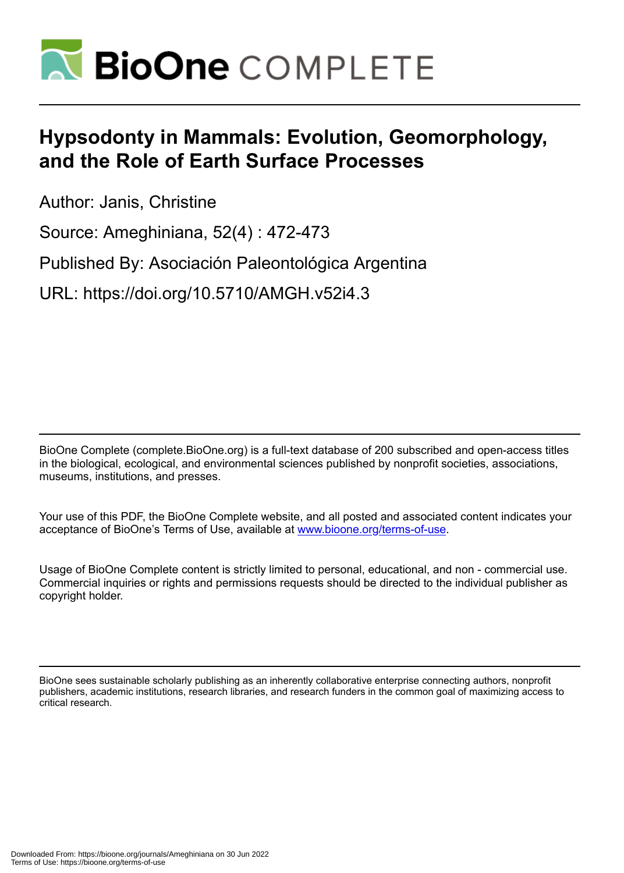

## **Hypsodonty in Mammals: Evolution, Geomorphology, and the Role of Earth Surface Processes**

Author: Janis, Christine

Source: Ameghiniana, 52(4) : 472-473

Published By: Asociación Paleontológica Argentina

URL: https://doi.org/10.5710/AMGH.v52i4.3

BioOne Complete (complete.BioOne.org) is a full-text database of 200 subscribed and open-access titles in the biological, ecological, and environmental sciences published by nonprofit societies, associations, museums, institutions, and presses.

Your use of this PDF, the BioOne Complete website, and all posted and associated content indicates your acceptance of BioOne's Terms of Use, available at www.bioone.org/terms-of-use.

Usage of BioOne Complete content is strictly limited to personal, educational, and non - commercial use. Commercial inquiries or rights and permissions requests should be directed to the individual publisher as copyright holder.

BioOne sees sustainable scholarly publishing as an inherently collaborative enterprise connecting authors, nonprofit publishers, academic institutions, research libraries, and research funders in the common goal of maximizing access to critical research.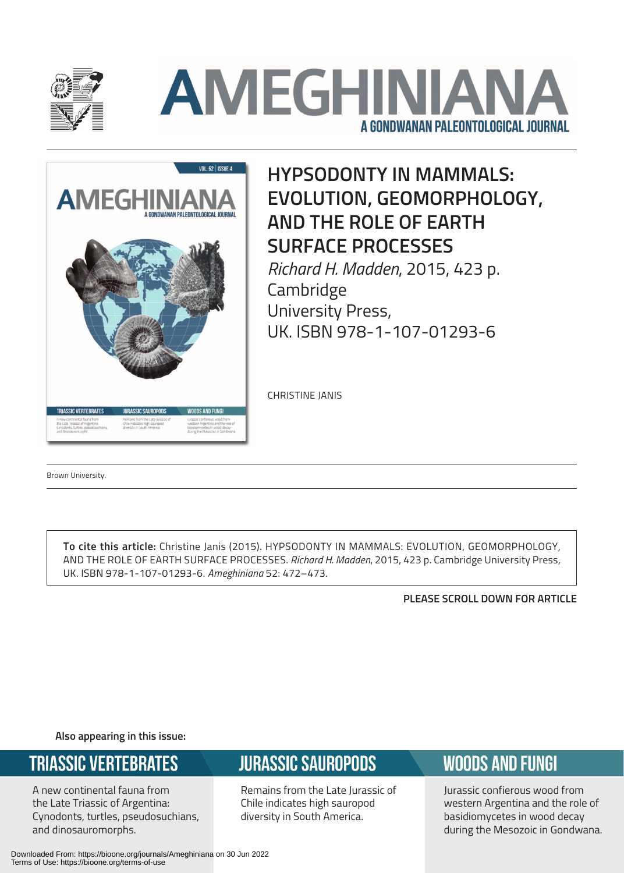

# **AMEGHINIAN** A GONDWANAN PALEONTOLOGICAL JOURNAL



# **HYPSODONTY IN MAMMALS: EVOLUTION, GEOMORPHOLOGY, AND THE ROLE OF EARTH SURFACE PROCESSES**

*Richard H. Madden*, 2015, 423 p. Cambridge University Press, UK. ISBN 978-1-107-01293-6

CHRISTINE JANIS

Brown University.

**To cite this article:** Christine Janis (2015). HYPSODONTY IN MAMMALS: EVOLUTION, GEOMORPHOLOGY, AND THE ROLE OF EARTH SURFACE PROCESSES. *Richard H. Madden*, 2015, 423 p. Cambridge University Press, UK. ISBN 978-1-107-01293-6. *Ameghiniana* 52: 472–473.

**PLEASE SCROLL DOWN FOR ARTICLE**

**Also appearing in this issue:**

#### **TRIASSIC VERTEBRATES**

A new continental fauna from the Late Triassic of Argentina: Cynodonts, turtles, pseudosuchians, and dinosauromorphs.

### **JURASSIC SAUROPODS**

Remains from the Late Jurassic of Chile indicates high sauropod diversity in South America.

#### **WOODS AND FUNGI**

Jurassic confierous wood from western Argentina and the role of basidiomycetes in wood decay during the Mesozoic in Gondwana.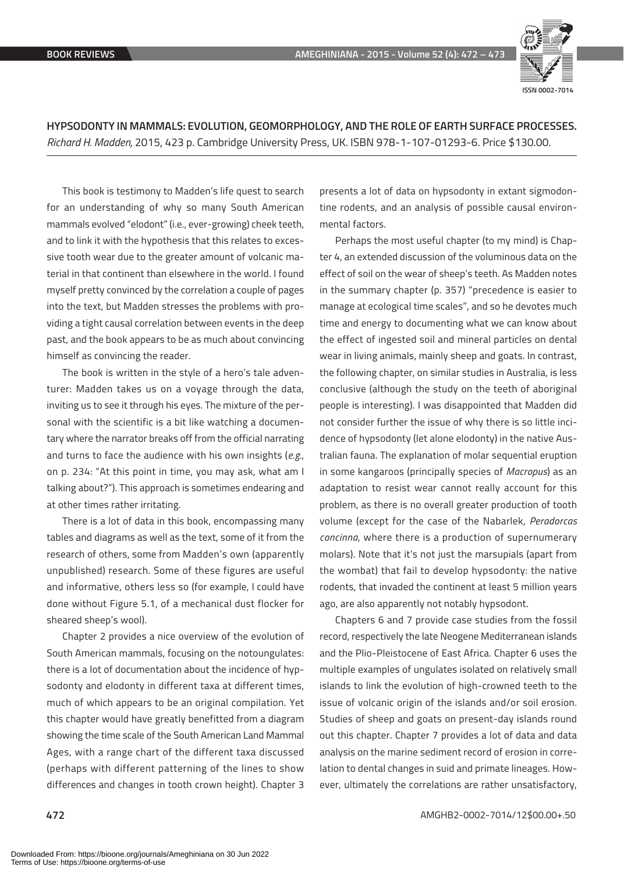

**HYPSODONTY IN MAMMALS: EVOLUTION, GEOMORPHOLOGY, AND THE ROLE OF EARTH SURFACE PROCESSES.** *Richard H. Madden,* 2015, 423 p. Cambridge University Press, UK. ISBN 978-1-107-01293-6. Price \$130.00.

This book is testimony to Madden's life quest to search for an understanding of why so many South American mammals evolved "elodont" (i.e., ever-growing) cheek teeth, and to link it with the hypothesis that this relates to excessive tooth wear due to the greater amount of volcanic material in that continent than elsewhere in the world. I found myself pretty convinced by the correlation a couple of pages into the text, but Madden stresses the problems with providing a tight causal correlation between events in the deep past, and the book appears to be as much about convincing himself as convincing the reader.

The book is written in the style of a hero's tale adventurer: Madden takes us on a voyage through the data, inviting us to see it through his eyes. The mixture of the personal with the scientific is a bit like watching a documentary where the narrator breaks off from the official narrating and turns to face the audience with his own insights (*e.g.*, on p. 234: "At this point in time, you may ask, what am I talking about?"). This approach is sometimes endearing and at other times rather irritating.

There is a lot of data in this book, encompassing many tables and diagrams as well as the text, some of it from the research of others, some from Madden's own (apparently unpublished) research. Some of these figures are useful and informative, others less so (for example, I could have done without Figure 5.1, of a mechanical dust flocker for sheared sheep's wool).

Chapter 2 provides a nice overview of the evolution of South American mammals, focusing on the notoungulates: there is a lot of documentation about the incidence of hypsodonty and elodonty in different taxa at different times, much of which appears to be an original compilation. Yet this chapter would have greatly benefitted from a diagram showing the time scale of the South American Land Mammal Ages, with a range chart of the different taxa discussed (perhaps with different patterning of the lines to show differences and changes in tooth crown height). Chapter 3 presents a lot of data on hypsodonty in extant sigmodontine rodents, and an analysis of possible causal environmental factors.

Perhaps the most useful chapter (to my mind) is Chapter 4, an extended discussion of the voluminous data on the effect of soil on the wear of sheep's teeth. As Madden notes in the summary chapter (p. 357) "precedence is easier to manage at ecological time scales", and so he devotes much time and energy to documenting what we can know about the effect of ingested soil and mineral particles on dental wear in living animals, mainly sheep and goats. In contrast, the following chapter, on similar studies in Australia, is less conclusive (although the study on the teeth of aboriginal people is interesting). I was disappointed that Madden did not consider further the issue of why there is so little incidence of hypsodonty (let alone elodonty) in the native Australian fauna. The explanation of molar sequential eruption in some kangaroos (principally species of *Macropus*) as an adaptation to resist wear cannot really account for this problem, as there is no overall greater production of tooth volume (except for the case of the Nabarlek, *Peradorcas concinna*, where there is a production of supernumerary molars). Note that it's not just the marsupials (apart from the wombat) that fail to develop hypsodonty: the native rodents, that invaded the continent at least 5 million years ago, are also apparently not notably hypsodont.

Chapters 6 and 7 provide case studies from the fossil record, respectively the late Neogene Mediterranean islands and the Plio-Pleistocene of East Africa. Chapter 6 uses the multiple examples of ungulates isolated on relatively small islands to link the evolution of high-crowned teeth to the issue of volcanic origin of the islands and/or soil erosion. Studies of sheep and goats on present-day islands round out this chapter. Chapter 7 provides a lot of data and data analysis on the marine sediment record of erosion in correlation to dental changes in suid and primate lineages. However, ultimately the correlations are rather unsatisfactory,